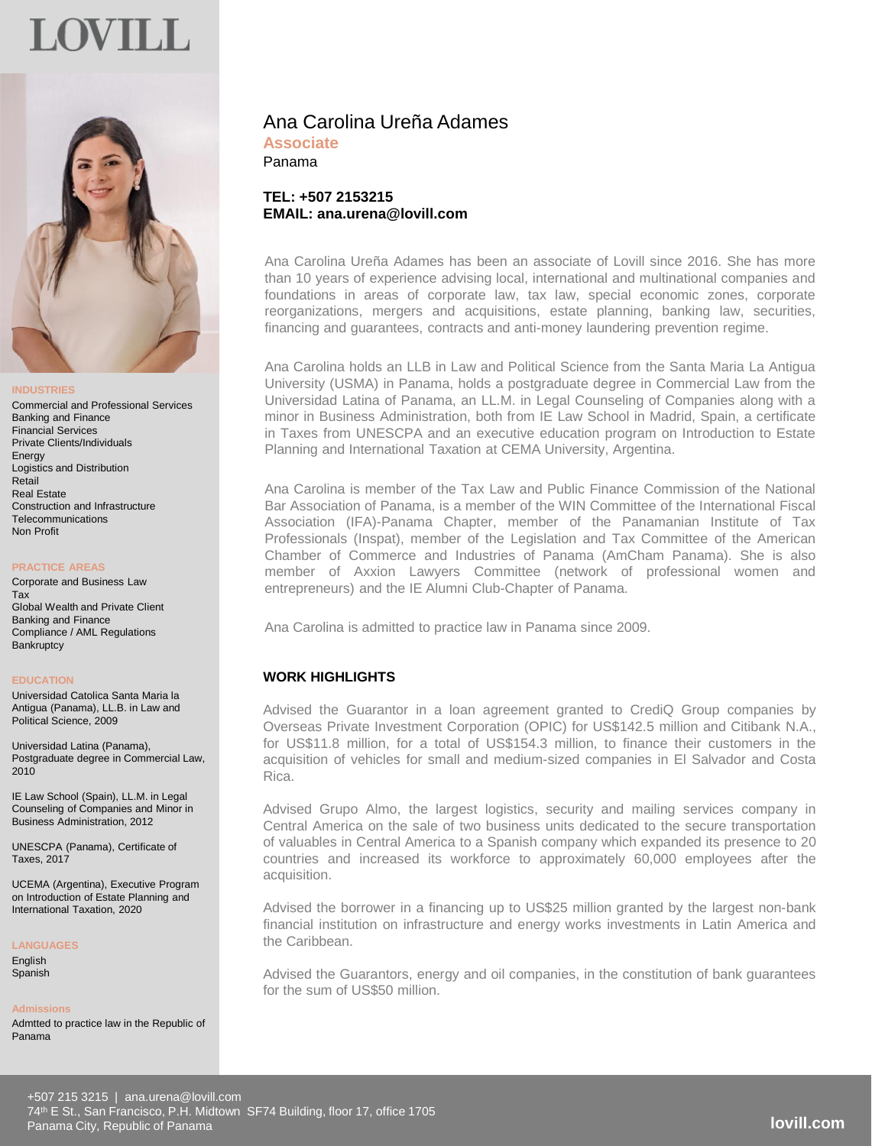# **OVILL**



#### **INDUSTRIES**

Commercial and Professional Services Banking and Finance Financial Services Private Clients/Individuals Energy Logistics and Distribution Retail Real Estate Construction and Infrastructure **Telecommunications** Non Profit

#### **PRACTICE AREAS**

Corporate and Business Law Tax Global Wealth and Private Client Banking and Finance Compliance / AML Regulations **Bankruptcy** 

#### **EDUCATION**

Universidad Catolica Santa Maria la Antigua (Panama), LL.B. in Law and Political Science, 2009

Universidad Latina (Panama), Postgraduate degree in Commercial Law, 2010

IE Law School (Spain), LL.M. in Legal Counseling of Companies and Minor in Business Administration, 2012

UNESCPA (Panama), Certificate of Taxes, 2017

UCEMA (Argentina), Executive Program on Introduction of Estate Planning and International Taxation, 2020

#### **LANGUAGES**

**English** Spanish

#### **Admissions**

Admtted to practice law in the Republic of Panama

# Ana Carolina Ureña Adames **Associate**

Panama

# **TEL: +507 2153215 EMAIL: ana.urena@lovill.com**

Ana Carolina Ureña Adames has been an associate of Lovill since 2016. She has more than 10 years of experience advising local, international and multinational companies and foundations in areas of corporate law, tax law, special economic zones, corporate reorganizations, mergers and acquisitions, estate planning, banking law, securities, financing and guarantees, contracts and anti-money laundering prevention regime.

Ana Carolina holds an LLB in Law and Political Science from the Santa Maria La Antigua University (USMA) in Panama, holds a postgraduate degree in Commercial Law from the Universidad Latina of Panama, an LL.M. in Legal Counseling of Companies along with a minor in Business Administration, both from IE Law School in Madrid, Spain, a certificate in Taxes from UNESCPA and an executive education program on Introduction to Estate Planning and International Taxation at CEMA University, Argentina.

Ana Carolina is member of the Tax Law and Public Finance Commission of the National Bar Association of Panama, is a member of the WIN Committee of the International Fiscal Association (IFA)-Panama Chapter, member of the Panamanian Institute of Tax Professionals (Inspat), member of the Legislation and Tax Committee of the American Chamber of Commerce and Industries of Panama (AmCham Panama). She is also member of Axxion Lawyers Committee (network of professional women and entrepreneurs) and the IE Alumni Club-Chapter of Panama.

Ana Carolina is admitted to practice law in Panama since 2009.

# **WORK HIGHLIGHTS**

Advised the Guarantor in a loan agreement granted to CrediQ Group companies by Overseas Private Investment Corporation (OPIC) for US\$142.5 million and Citibank N.A., for US\$11.8 million, for a total of US\$154.3 million, to finance their customers in the acquisition of vehicles for small and medium-sized companies in El Salvador and Costa Rica.

Advised Grupo Almo, the largest logistics, security and mailing services company in Central America on the sale of two business units dedicated to the secure transportation of valuables in Central America to a Spanish company which expanded its presence to 20 countries and increased its workforce to approximately 60,000 employees after the acquisition.

Advised the borrower in a financing up to US\$25 million granted by the largest non-bank financial institution on infrastructure and energy works investments in Latin America and the Caribbean.

Advised the Guarantors, energy and oil companies, in the constitution of bank guarantees for the sum of US\$50 million.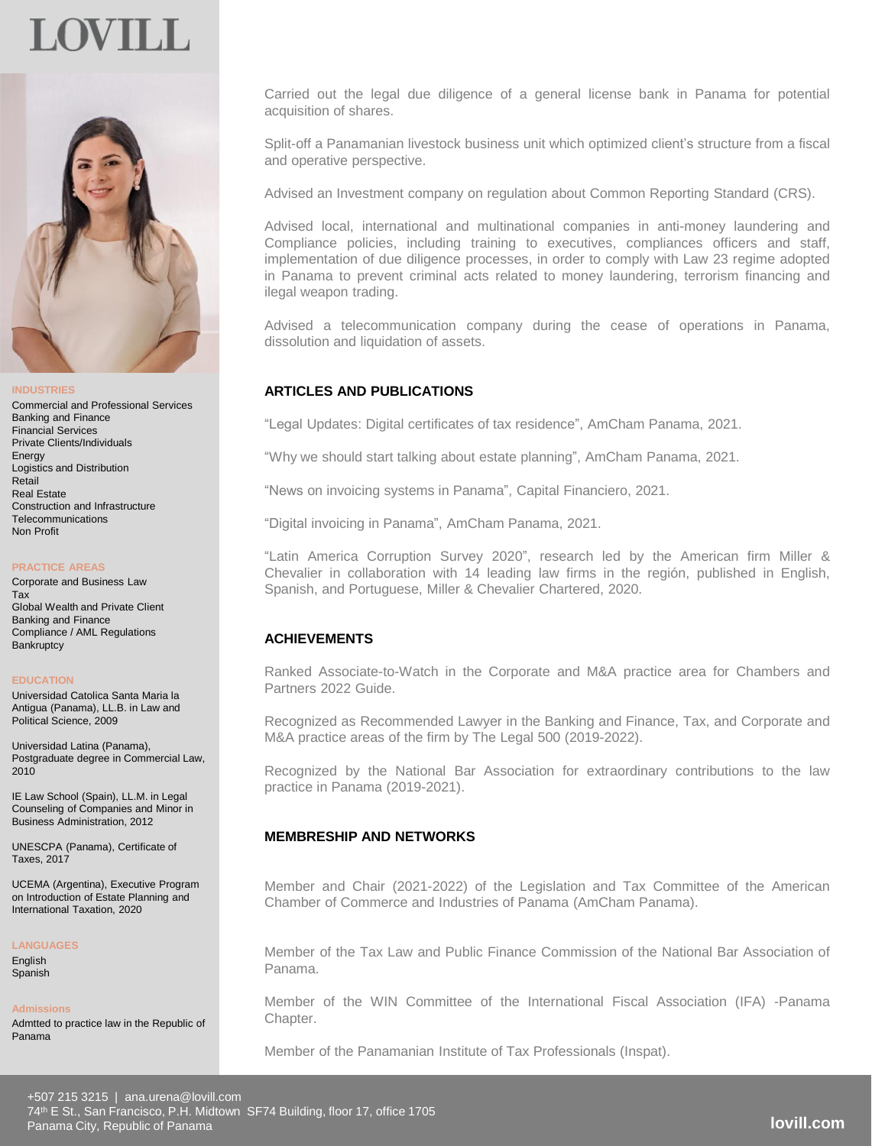# OVIL I



#### **INDUSTRIES**

Commercial and Professional Services Banking and Finance Financial Services Private Clients/Individuals Energy Logistics and Distribution Retail Real Estate Construction and Infrastructure **Telecommunications** Non Profit

#### **PRACTICE AREAS**

Corporate and Business Law Tax Global Wealth and Private Client Banking and Finance Compliance / AML Regulations **Bankruptcy** 

#### **EDUCATION**

Universidad Catolica Santa Maria la Antigua (Panama), LL.B. in Law and Political Science, 2009

Universidad Latina (Panama), Postgraduate degree in Commercial Law, 2010

IE Law School (Spain), LL.M. in Legal Counseling of Companies and Minor in Business Administration, 2012

UNESCPA (Panama), Certificate of Taxes, 2017

UCEMA (Argentina), Executive Program on Introduction of Estate Planning and International Taxation, 2020

#### **LANGUAGES**

**English** Spanish

#### **Admissions**

Admtted to practice law in the Republic of Panama

Carried out the legal due diligence of a general license bank in Panama for potential acquisition of shares.

Split-off a Panamanian livestock business unit which optimized client's structure from a fiscal and operative perspective.

Advised an Investment company on regulation about Common Reporting Standard (CRS).

Advised local, international and multinational companies in anti-money laundering and Compliance policies, including training to executives, compliances officers and staff, implementation of due diligence processes, in order to comply with Law 23 regime adopted in Panama to prevent criminal acts related to money laundering, terrorism financing and ilegal weapon trading.

Advised a telecommunication company during the cease of operations in Panama, dissolution and liquidation of assets.

## **ARTICLES AND PUBLICATIONS**

"Legal Updates: Digital certificates of tax residence", AmCham Panama, 2021.

"Why we should start talking about estate planning", AmCham Panama, 2021.

"News on invoicing systems in Panama", Capital Financiero, 2021.

"Digital invoicing in Panama", AmCham Panama, 2021.

"Latin America Corruption Survey 2020", research led by the American firm Miller & Chevalier in collaboration with 14 leading law firms in the región, published in English, Spanish, and Portuguese, Miller & Chevalier Chartered, 2020.

## **ACHIEVEMENTS**

Ranked Associate-to-Watch in the Corporate and M&A practice area for Chambers and Partners 2022 Guide.

Recognized as Recommended Lawyer in the Banking and Finance, Tax, and Corporate and M&A practice areas of the firm by The Legal 500 (2019-2022).

Recognized by the National Bar Association for extraordinary contributions to the law practice in Panama (2019-2021).

### **MEMBRESHIP AND NETWORKS**

Member and Chair (2021-2022) of the Legislation and Tax Committee of the American Chamber of Commerce and Industries of Panama (AmCham Panama).

Member of the Tax Law and Public Finance Commission of the National Bar Association of Panama.

Member of the WIN Committee of the International Fiscal Association (IFA) -Panama Chapter.

Member of the Panamanian Institute of Tax Professionals (Inspat).